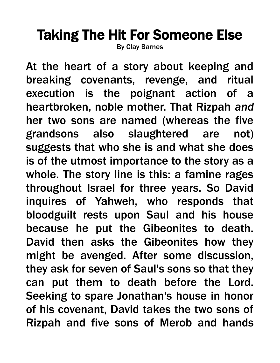## Taking The Hit For Someone Else

By Clay Barnes

At the heart of a story about keeping and breaking covenants, revenge, and ritual execution is the poignant action of a heartbroken, noble mother. That Rizpah *and* her two sons are named (whereas the five grandsons also slaughtered are not) suggests that who she is and what she does is of the utmost importance to the story as a whole. The story line is this: a famine rages throughout Israel for three years. So David inquires of Yahweh, who responds that bloodguilt rests upon Saul and his house because he put the Gibeonites to death. David then asks the Gibeonites how they might be avenged. After some discussion, they ask for seven of Saul's sons so that they can put them to death before the Lord. Seeking to spare Jonathan's house in honor of his covenant, David takes the two sons of Rizpah and five sons of Merob and hands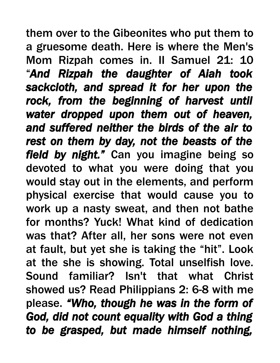them over to the Gibeonites who put them to a gruesome death. Here is where the Men's Mom Rizpah comes in. II Samuel 21: 10 "*And Rizpah the daughter of Aiah took sackcloth, and spread it for her upon the rock, from the beginning of harvest until water dropped upon them out of heaven, and suffered neither the birds of the air to rest on them by day, not the beasts of the field by night."* Can you imagine being so devoted to what you were doing that you would stay out in the elements, and perform physical exercise that would cause you to work up a nasty sweat, and then not bathe for months? Yuck! What kind of dedication was that? After all, her sons were not even at fault, but yet she is taking the "hit". Look at the she is showing. Total unselfish love. Sound familiar? Isn't that what Christ showed us? Read Philippians 2: 6-8 with me please. *"Who, though he was in the form of God, did not count equality with God a thing to be grasped, but made himself nothing,*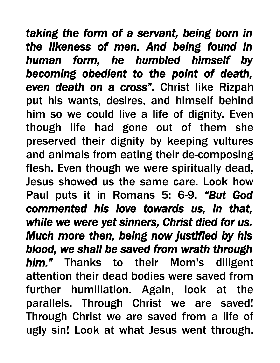*taking the form of a servant, being born in the likeness of men. And being found in human form, he humbled himself by becoming obedient to the point of death, even death on a cross".* Christ like Rizpah put his wants, desires, and himself behind him so we could live a life of dignity. Even though life had gone out of them she preserved their dignity by keeping vultures and animals from eating their de-composing flesh. Even though we were spiritually dead, Jesus showed us the same care. Look how Paul puts it in Romans 5: 6-9. *"But God commented his love towards us, in that, while we were yet sinners, Christ died for us. Much more then, being now justified by his blood, we shall be saved from wrath through him."* Thanks to their Mom's diligent attention their dead bodies were saved from further humiliation. Again, look at the parallels. Through Christ we are saved! Through Christ we are saved from a life of ugly sin! Look at what Jesus went through.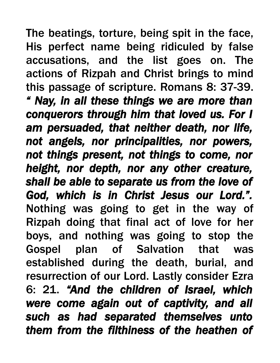The beatings, torture, being spit in the face, His perfect name being ridiculed by false accusations, and the list goes on. The actions of Rizpah and Christ brings to mind this passage of scripture. Romans 8: 37-39. *" Nay, in all these things we are more than conquerors through him that loved us. For I am persuaded, that neither death, nor life, not angels, nor principalities, nor powers, not things present, not things to come, nor height, nor depth, nor any other creature, shall be able to separate us from the love of God, which is in Christ Jesus our Lord.".*  Nothing was going to get in the way of Rizpah doing that final act of love for her boys, and nothing was going to stop the Gospel plan of Salvation that was established during the death, burial, and resurrection of our Lord. Lastly consider Ezra 6: 21. *"And the children of Israel, which were come again out of captivity, and all such as had separated themselves unto them from the filthiness of the heathen of*